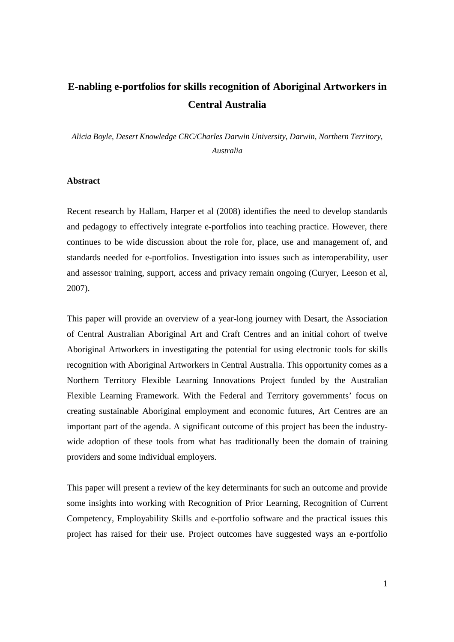# **E-nabling e-portfolios for skills recognition of Aboriginal Artworkers in Central Australia**

*Alicia Boyle, Desert Knowledge CRC/Charles Darwin University, Darwin, Northern Territory, Australia* 

## **Abstract**

Recent research by Hallam, Harper et al (2008) identifies the need to develop standards and pedagogy to effectively integrate e-portfolios into teaching practice. However, there continues to be wide discussion about the role for, place, use and management of, and standards needed for e-portfolios. Investigation into issues such as interoperability, user and assessor training, support, access and privacy remain ongoing (Curyer, Leeson et al, 2007).

This paper will provide an overview of a year-long journey with Desart, the Association of Central Australian Aboriginal Art and Craft Centres and an initial cohort of twelve Aboriginal Artworkers in investigating the potential for using electronic tools for skills recognition with Aboriginal Artworkers in Central Australia. This opportunity comes as a Northern Territory Flexible Learning Innovations Project funded by the Australian Flexible Learning Framework. With the Federal and Territory governments' focus on creating sustainable Aboriginal employment and economic futures, Art Centres are an important part of the agenda. A significant outcome of this project has been the industrywide adoption of these tools from what has traditionally been the domain of training providers and some individual employers.

This paper will present a review of the key determinants for such an outcome and provide some insights into working with Recognition of Prior Learning, Recognition of Current Competency, Employability Skills and e-portfolio software and the practical issues this project has raised for their use. Project outcomes have suggested ways an e-portfolio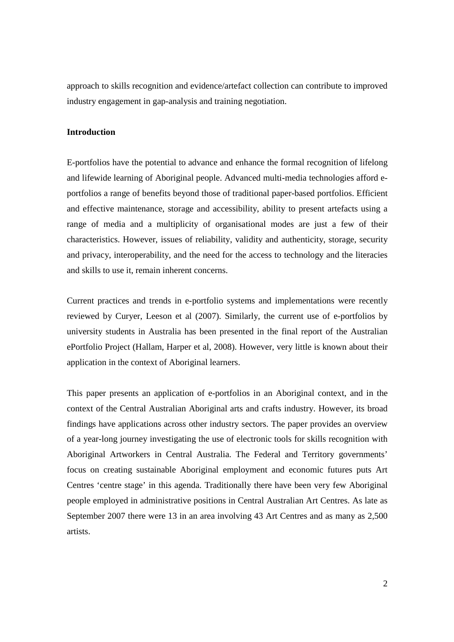approach to skills recognition and evidence/artefact collection can contribute to improved industry engagement in gap-analysis and training negotiation.

## **Introduction**

E-portfolios have the potential to advance and enhance the formal recognition of lifelong and lifewide learning of Aboriginal people. Advanced multi-media technologies afford eportfolios a range of benefits beyond those of traditional paper-based portfolios. Efficient and effective maintenance, storage and accessibility, ability to present artefacts using a range of media and a multiplicity of organisational modes are just a few of their characteristics. However, issues of reliability, validity and authenticity, storage, security and privacy, interoperability, and the need for the access to technology and the literacies and skills to use it, remain inherent concerns.

Current practices and trends in e-portfolio systems and implementations were recently reviewed by Curyer, Leeson et al (2007). Similarly, the current use of e-portfolios by university students in Australia has been presented in the final report of the Australian ePortfolio Project (Hallam, Harper et al, 2008). However, very little is known about their application in the context of Aboriginal learners.

This paper presents an application of e-portfolios in an Aboriginal context, and in the context of the Central Australian Aboriginal arts and crafts industry. However, its broad findings have applications across other industry sectors. The paper provides an overview of a year-long journey investigating the use of electronic tools for skills recognition with Aboriginal Artworkers in Central Australia. The Federal and Territory governments' focus on creating sustainable Aboriginal employment and economic futures puts Art Centres 'centre stage' in this agenda. Traditionally there have been very few Aboriginal people employed in administrative positions in Central Australian Art Centres. As late as September 2007 there were 13 in an area involving 43 Art Centres and as many as 2,500 artists.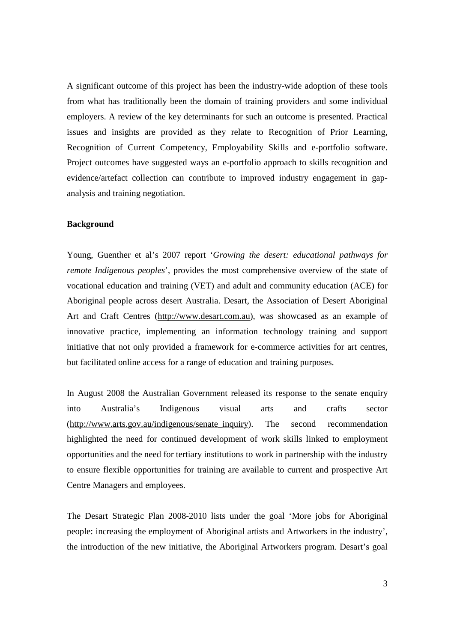A significant outcome of this project has been the industry-wide adoption of these tools from what has traditionally been the domain of training providers and some individual employers. A review of the key determinants for such an outcome is presented. Practical issues and insights are provided as they relate to Recognition of Prior Learning, Recognition of Current Competency, Employability Skills and e-portfolio software. Project outcomes have suggested ways an e-portfolio approach to skills recognition and evidence/artefact collection can contribute to improved industry engagement in gapanalysis and training negotiation.

## **Background**

Young, Guenther et al's 2007 report '*Growing the desert: educational pathways for remote Indigenous peoples*', provides the most comprehensive overview of the state of vocational education and training (VET) and adult and community education (ACE) for Aboriginal people across desert Australia. Desart, the Association of Desert Aboriginal Art and Craft Centres (http://www.desart.com.au), was showcased as an example of innovative practice, implementing an information technology training and support initiative that not only provided a framework for e-commerce activities for art centres, but facilitated online access for a range of education and training purposes.

In August 2008 the Australian Government released its response to the senate enquiry into Australia's Indigenous visual arts and crafts sector (http://www.arts.gov.au/indigenous/senate\_inquiry). The second recommendation highlighted the need for continued development of work skills linked to employment opportunities and the need for tertiary institutions to work in partnership with the industry to ensure flexible opportunities for training are available to current and prospective Art Centre Managers and employees.

The Desart Strategic Plan 2008-2010 lists under the goal 'More jobs for Aboriginal people: increasing the employment of Aboriginal artists and Artworkers in the industry', the introduction of the new initiative, the Aboriginal Artworkers program. Desart's goal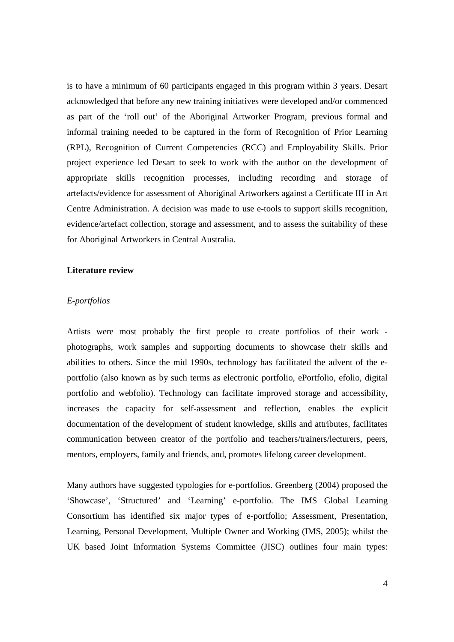is to have a minimum of 60 participants engaged in this program within 3 years. Desart acknowledged that before any new training initiatives were developed and/or commenced as part of the 'roll out' of the Aboriginal Artworker Program, previous formal and informal training needed to be captured in the form of Recognition of Prior Learning (RPL), Recognition of Current Competencies (RCC) and Employability Skills. Prior project experience led Desart to seek to work with the author on the development of appropriate skills recognition processes, including recording and storage of artefacts/evidence for assessment of Aboriginal Artworkers against a Certificate III in Art Centre Administration. A decision was made to use e-tools to support skills recognition, evidence/artefact collection, storage and assessment, and to assess the suitability of these for Aboriginal Artworkers in Central Australia.

#### **Literature review**

## *E-portfolios*

Artists were most probably the first people to create portfolios of their work photographs, work samples and supporting documents to showcase their skills and abilities to others. Since the mid 1990s, technology has facilitated the advent of the eportfolio (also known as by such terms as electronic portfolio, ePortfolio, efolio, digital portfolio and webfolio). Technology can facilitate improved storage and accessibility, increases the capacity for self-assessment and reflection, enables the explicit documentation of the development of student knowledge, skills and attributes, facilitates communication between creator of the portfolio and teachers/trainers/lecturers, peers, mentors, employers, family and friends, and, promotes lifelong career development.

Many authors have suggested typologies for e-portfolios. Greenberg (2004) proposed the 'Showcase', 'Structured' and 'Learning' e-portfolio. The IMS Global Learning Consortium has identified six major types of e-portfolio; Assessment, Presentation, Learning, Personal Development, Multiple Owner and Working (IMS, 2005); whilst the UK based Joint Information Systems Committee (JISC) outlines four main types: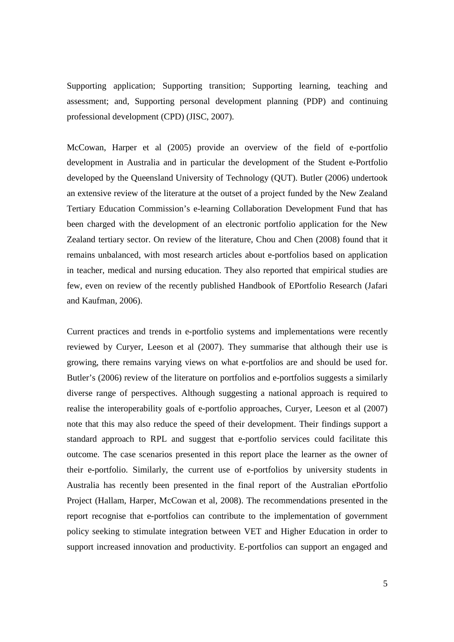Supporting application; Supporting transition; Supporting learning, teaching and assessment; and, Supporting personal development planning (PDP) and continuing professional development (CPD) (JISC, 2007).

McCowan, Harper et al (2005) provide an overview of the field of e-portfolio development in Australia and in particular the development of the Student e-Portfolio developed by the Queensland University of Technology (QUT). Butler (2006) undertook an extensive review of the literature at the outset of a project funded by the New Zealand Tertiary Education Commission's e-learning Collaboration Development Fund that has been charged with the development of an electronic portfolio application for the New Zealand tertiary sector. On review of the literature, Chou and Chen (2008) found that it remains unbalanced, with most research articles about e-portfolios based on application in teacher, medical and nursing education. They also reported that empirical studies are few, even on review of the recently published Handbook of EPortfolio Research (Jafari and Kaufman, 2006).

Current practices and trends in e-portfolio systems and implementations were recently reviewed by Curyer, Leeson et al (2007). They summarise that although their use is growing, there remains varying views on what e-portfolios are and should be used for. Butler's (2006) review of the literature on portfolios and e-portfolios suggests a similarly diverse range of perspectives. Although suggesting a national approach is required to realise the interoperability goals of e-portfolio approaches, Curyer, Leeson et al (2007) note that this may also reduce the speed of their development. Their findings support a standard approach to RPL and suggest that e-portfolio services could facilitate this outcome. The case scenarios presented in this report place the learner as the owner of their e-portfolio. Similarly, the current use of e-portfolios by university students in Australia has recently been presented in the final report of the Australian ePortfolio Project (Hallam, Harper, McCowan et al, 2008). The recommendations presented in the report recognise that e-portfolios can contribute to the implementation of government policy seeking to stimulate integration between VET and Higher Education in order to support increased innovation and productivity. E-portfolios can support an engaged and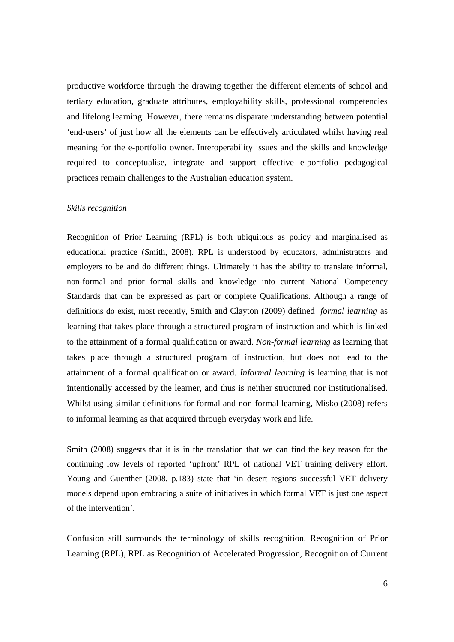productive workforce through the drawing together the different elements of school and tertiary education, graduate attributes, employability skills, professional competencies and lifelong learning. However, there remains disparate understanding between potential 'end-users' of just how all the elements can be effectively articulated whilst having real meaning for the e-portfolio owner. Interoperability issues and the skills and knowledge required to conceptualise, integrate and support effective e-portfolio pedagogical practices remain challenges to the Australian education system.

#### *Skills recognition*

Recognition of Prior Learning (RPL) is both ubiquitous as policy and marginalised as educational practice (Smith, 2008). RPL is understood by educators, administrators and employers to be and do different things. Ultimately it has the ability to translate informal, non-formal and prior formal skills and knowledge into current National Competency Standards that can be expressed as part or complete Qualifications. Although a range of definitions do exist, most recently, Smith and Clayton (2009) defined *formal learning* as learning that takes place through a structured program of instruction and which is linked to the attainment of a formal qualification or award. *Non-formal learning* as learning that takes place through a structured program of instruction, but does not lead to the attainment of a formal qualification or award. *Informal learning* is learning that is not intentionally accessed by the learner, and thus is neither structured nor institutionalised. Whilst using similar definitions for formal and non-formal learning, Misko (2008) refers to informal learning as that acquired through everyday work and life.

Smith (2008) suggests that it is in the translation that we can find the key reason for the continuing low levels of reported 'upfront' RPL of national VET training delivery effort. Young and Guenther (2008, p.183) state that 'in desert regions successful VET delivery models depend upon embracing a suite of initiatives in which formal VET is just one aspect of the intervention'.

Confusion still surrounds the terminology of skills recognition. Recognition of Prior Learning (RPL), RPL as Recognition of Accelerated Progression, Recognition of Current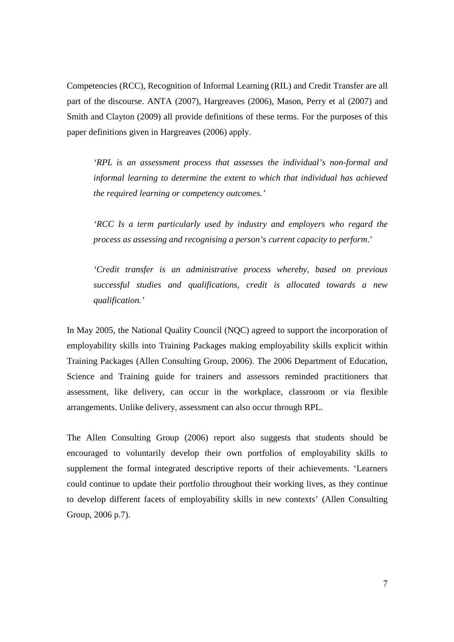Competencies (RCC), Recognition of Informal Learning (RIL) and Credit Transfer are all part of the discourse. ANTA (2007), Hargreaves (2006), Mason, Perry et al (2007) and Smith and Clayton (2009) all provide definitions of these terms. For the purposes of this paper definitions given in Hargreaves (2006) apply.

*'RPL is an assessment process that assesses the individual's non-formal and informal learning to determine the extent to which that individual has achieved the required learning or competency outcomes.'* 

*'RCC Is a term particularly used by industry and employers who regard the process as assessing and recognising a person's current capacity to perform*.'

*'Credit transfer is an administrative process whereby, based on previous successful studies and qualifications, credit is allocated towards a new qualification.'*

In May 2005, the National Quality Council (NQC) agreed to support the incorporation of employability skills into Training Packages making employability skills explicit within Training Packages (Allen Consulting Group, 2006). The 2006 Department of Education, Science and Training guide for trainers and assessors reminded practitioners that assessment, like delivery, can occur in the workplace, classroom or via flexible arrangements. Unlike delivery, assessment can also occur through RPL.

The Allen Consulting Group (2006) report also suggests that students should be encouraged to voluntarily develop their own portfolios of employability skills to supplement the formal integrated descriptive reports of their achievements. 'Learners could continue to update their portfolio throughout their working lives, as they continue to develop different facets of employability skills in new contexts' (Allen Consulting Group, 2006 p.7).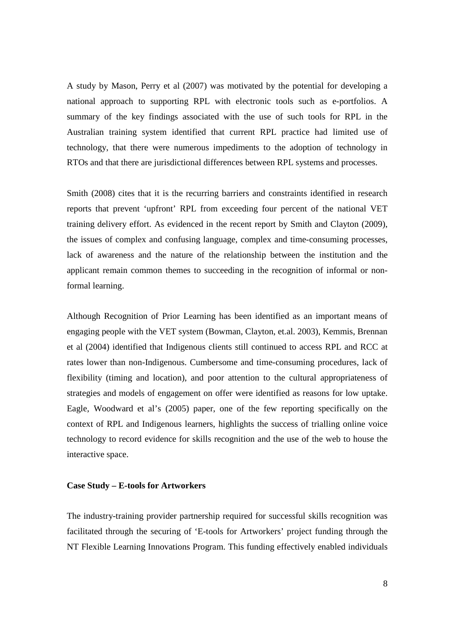A study by Mason, Perry et al (2007) was motivated by the potential for developing a national approach to supporting RPL with electronic tools such as e-portfolios. A summary of the key findings associated with the use of such tools for RPL in the Australian training system identified that current RPL practice had limited use of technology, that there were numerous impediments to the adoption of technology in RTOs and that there are jurisdictional differences between RPL systems and processes.

Smith (2008) cites that it is the recurring barriers and constraints identified in research reports that prevent 'upfront' RPL from exceeding four percent of the national VET training delivery effort. As evidenced in the recent report by Smith and Clayton (2009), the issues of complex and confusing language, complex and time-consuming processes, lack of awareness and the nature of the relationship between the institution and the applicant remain common themes to succeeding in the recognition of informal or nonformal learning.

Although Recognition of Prior Learning has been identified as an important means of engaging people with the VET system (Bowman, Clayton, et.al. 2003), Kemmis, Brennan et al (2004) identified that Indigenous clients still continued to access RPL and RCC at rates lower than non-Indigenous. Cumbersome and time-consuming procedures, lack of flexibility (timing and location), and poor attention to the cultural appropriateness of strategies and models of engagement on offer were identified as reasons for low uptake. Eagle, Woodward et al's (2005) paper, one of the few reporting specifically on the context of RPL and Indigenous learners, highlights the success of trialling online voice technology to record evidence for skills recognition and the use of the web to house the interactive space.

#### **Case Study – E-tools for Artworkers**

The industry-training provider partnership required for successful skills recognition was facilitated through the securing of 'E-tools for Artworkers' project funding through the NT Flexible Learning Innovations Program. This funding effectively enabled individuals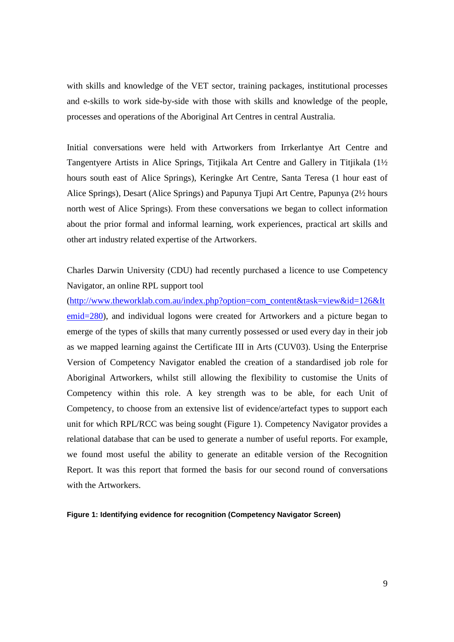with skills and knowledge of the VET sector, training packages, institutional processes and e-skills to work side-by-side with those with skills and knowledge of the people, processes and operations of the Aboriginal Art Centres in central Australia.

Initial conversations were held with Artworkers from Irrkerlantye Art Centre and Tangentyere Artists in Alice Springs, Titjikala Art Centre and Gallery in Titjikala (1½ hours south east of Alice Springs), Keringke Art Centre, Santa Teresa (1 hour east of Alice Springs), Desart (Alice Springs) and Papunya Tjupi Art Centre, Papunya (2½ hours north west of Alice Springs). From these conversations we began to collect information about the prior formal and informal learning, work experiences, practical art skills and other art industry related expertise of the Artworkers.

Charles Darwin University (CDU) had recently purchased a licence to use Competency Navigator, an online RPL support tool

(http://www.theworklab.com.au/index.php?option=com\_content&task=view&id=126&It emid=280), and individual logons were created for Artworkers and a picture began to emerge of the types of skills that many currently possessed or used every day in their job as we mapped learning against the Certificate III in Arts (CUV03). Using the Enterprise Version of Competency Navigator enabled the creation of a standardised job role for Aboriginal Artworkers, whilst still allowing the flexibility to customise the Units of Competency within this role. A key strength was to be able, for each Unit of Competency, to choose from an extensive list of evidence/artefact types to support each unit for which RPL/RCC was being sought (Figure 1). Competency Navigator provides a relational database that can be used to generate a number of useful reports. For example, we found most useful the ability to generate an editable version of the Recognition Report. It was this report that formed the basis for our second round of conversations with the Artworkers.

**Figure 1: Identifying evidence for recognition (Competency Navigator Screen)**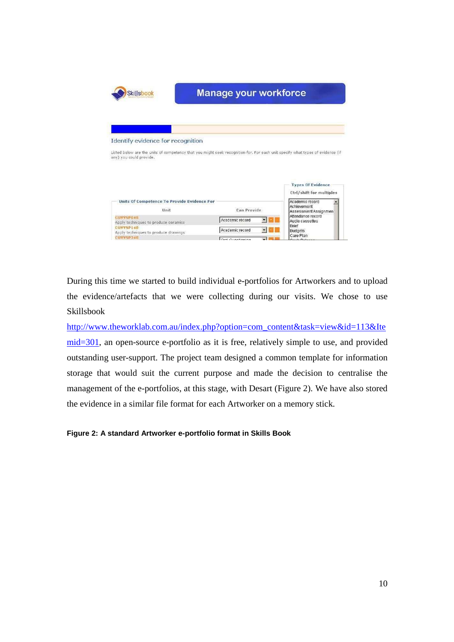

During this time we started to build individual e-portfolios for Artworkers and to upload the evidence/artefacts that we were collecting during our visits. We chose to use Skillsbook

http://www.theworklab.com.au/index.php?option=com\_content&task=view&id=113&Ite mid=301, an open-source e-portfolio as it is free, relatively simple to use, and provided outstanding user-support. The project team designed a common template for information storage that would suit the current purpose and made the decision to centralise the management of the e-portfolios, at this stage, with Desart (Figure 2). We have also stored the evidence in a similar file format for each Artworker on a memory stick.

## **Figure 2: A standard Artworker e-portfolio format in Skills Book**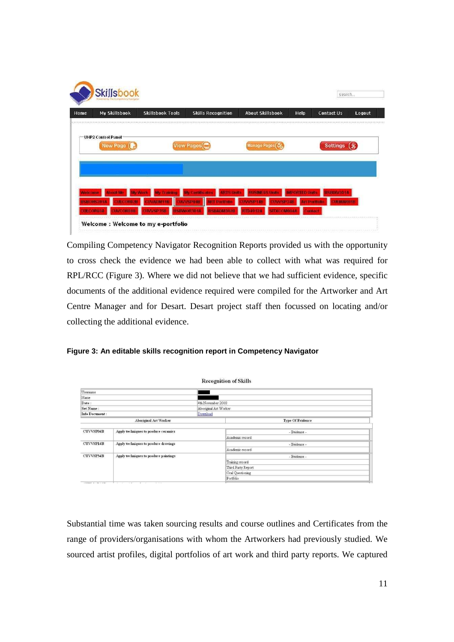| Home | My Skillsbook             | <b>Skillsbook Tools</b> | <b>Skills Recognition</b> | <b>About Skillsbook</b> | Help<br>www.commonwealth.com | <b>Contact Us</b> | Logout |
|------|---------------------------|-------------------------|---------------------------|-------------------------|------------------------------|-------------------|--------|
|      | <b>UHP2 Control Panel</b> |                         |                           |                         |                              |                   |        |
|      | New Page                  |                         | View Pages(               | <b>Manage Pages</b>     |                              | <b>Settings</b>   |        |
|      |                           |                         |                           |                         |                              |                   |        |
|      |                           |                         |                           |                         |                              |                   |        |
|      |                           |                         |                           |                         |                              |                   |        |

Compiling Competency Navigator Recognition Reports provided us with the opportunity to cross check the evidence we had been able to collect with what was required for RPL/RCC (Figure 3). Where we did not believe that we had sufficient evidence, specific documents of the additional evidence required were compiled for the Artworker and Art Centre Manager and for Desart. Desart project staff then focussed on locating and/or collecting the additional evidence.

| Figure 3: An editable skills recognition report in Competency Navigator |
|-------------------------------------------------------------------------|
|-------------------------------------------------------------------------|

|                  |                                                                   |                       | <b>Recognition of Skills</b> |  |  |  |
|------------------|-------------------------------------------------------------------|-----------------------|------------------------------|--|--|--|
| Username         |                                                                   |                       |                              |  |  |  |
| Name             |                                                                   |                       |                              |  |  |  |
| Date:            |                                                                   | 4th November 2008     |                              |  |  |  |
| Set Name:        |                                                                   | Aboriginal Art Worker |                              |  |  |  |
| Info Document:   |                                                                   | Download              |                              |  |  |  |
|                  | <b>Aboriginal Art Worker</b>                                      |                       | <b>Type Of Evidence</b>      |  |  |  |
|                  |                                                                   |                       |                              |  |  |  |
| <b>CUVVSP04B</b> | Apply techniques to produce ceramics                              |                       | - Evidence -                 |  |  |  |
|                  |                                                                   |                       | Academic record              |  |  |  |
| <b>CUVVSP14B</b> | Apply techniques to produce drawings                              |                       | - Evidence -                 |  |  |  |
|                  |                                                                   |                       | Academic record              |  |  |  |
| CUVVSP34B        | Apply techniques to produce paintings                             |                       | - Evidence -                 |  |  |  |
|                  |                                                                   |                       | Training record              |  |  |  |
|                  |                                                                   |                       | Third Party Report           |  |  |  |
|                  |                                                                   |                       | Oral Questioning             |  |  |  |
|                  |                                                                   |                       | Portfolio                    |  |  |  |
|                  | the control of the con-<br>$\sim$ $\sim$<br><b>Carl Carl Carl</b> |                       |                              |  |  |  |

Substantial time was taken sourcing results and course outlines and Certificates from the range of providers/organisations with whom the Artworkers had previously studied. We sourced artist profiles, digital portfolios of art work and third party reports. We captured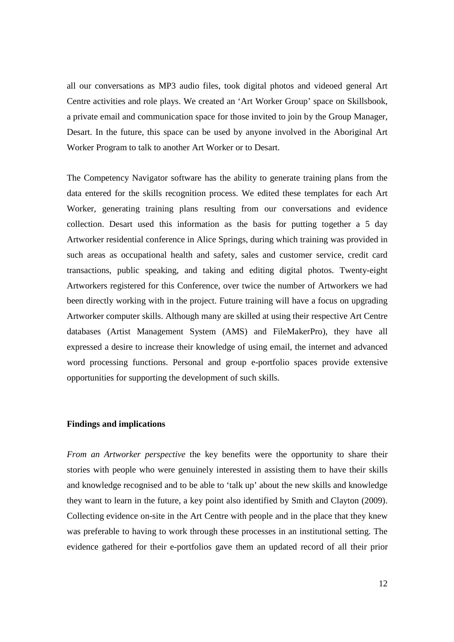all our conversations as MP3 audio files, took digital photos and videoed general Art Centre activities and role plays. We created an 'Art Worker Group' space on Skillsbook, a private email and communication space for those invited to join by the Group Manager, Desart. In the future, this space can be used by anyone involved in the Aboriginal Art Worker Program to talk to another Art Worker or to Desart.

The Competency Navigator software has the ability to generate training plans from the data entered for the skills recognition process. We edited these templates for each Art Worker, generating training plans resulting from our conversations and evidence collection. Desart used this information as the basis for putting together a 5 day Artworker residential conference in Alice Springs, during which training was provided in such areas as occupational health and safety, sales and customer service, credit card transactions, public speaking, and taking and editing digital photos. Twenty-eight Artworkers registered for this Conference, over twice the number of Artworkers we had been directly working with in the project. Future training will have a focus on upgrading Artworker computer skills. Although many are skilled at using their respective Art Centre databases (Artist Management System (AMS) and FileMakerPro), they have all expressed a desire to increase their knowledge of using email, the internet and advanced word processing functions. Personal and group e-portfolio spaces provide extensive opportunities for supporting the development of such skills.

### **Findings and implications**

*From an Artworker perspective* the key benefits were the opportunity to share their stories with people who were genuinely interested in assisting them to have their skills and knowledge recognised and to be able to 'talk up' about the new skills and knowledge they want to learn in the future, a key point also identified by Smith and Clayton (2009). Collecting evidence on-site in the Art Centre with people and in the place that they knew was preferable to having to work through these processes in an institutional setting. The evidence gathered for their e-portfolios gave them an updated record of all their prior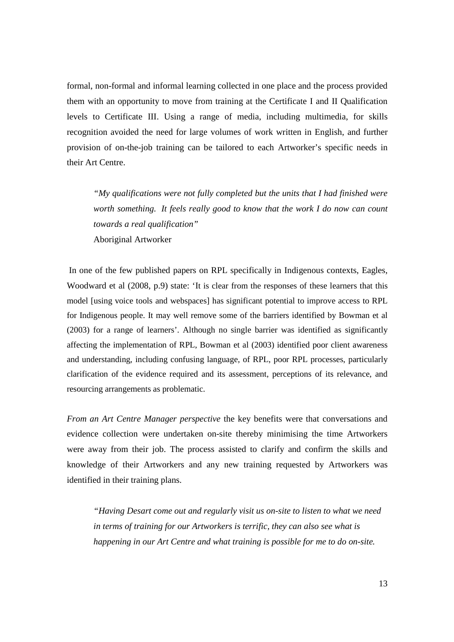formal, non-formal and informal learning collected in one place and the process provided them with an opportunity to move from training at the Certificate I and II Qualification levels to Certificate III. Using a range of media, including multimedia, for skills recognition avoided the need for large volumes of work written in English, and further provision of on-the-job training can be tailored to each Artworker's specific needs in their Art Centre.

*"My qualifications were not fully completed but the units that I had finished were worth something. It feels really good to know that the work I do now can count towards a real qualification"*  Aboriginal Artworker

 In one of the few published papers on RPL specifically in Indigenous contexts, Eagles, Woodward et al (2008, p.9) state: 'It is clear from the responses of these learners that this model [using voice tools and webspaces] has significant potential to improve access to RPL for Indigenous people. It may well remove some of the barriers identified by Bowman et al (2003) for a range of learners'. Although no single barrier was identified as significantly affecting the implementation of RPL, Bowman et al (2003) identified poor client awareness and understanding, including confusing language, of RPL, poor RPL processes, particularly clarification of the evidence required and its assessment, perceptions of its relevance, and resourcing arrangements as problematic.

*From an Art Centre Manager perspective* the key benefits were that conversations and evidence collection were undertaken on-site thereby minimising the time Artworkers were away from their job. The process assisted to clarify and confirm the skills and knowledge of their Artworkers and any new training requested by Artworkers was identified in their training plans.

*"Having Desart come out and regularly visit us on-site to listen to what we need in terms of training for our Artworkers is terrific, they can also see what is happening in our Art Centre and what training is possible for me to do on-site.*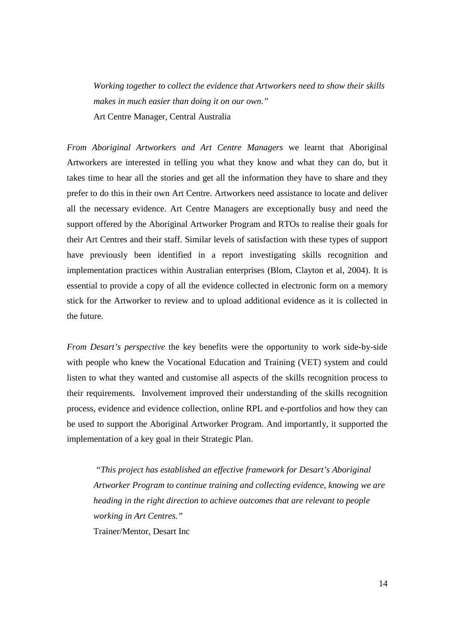*Working together to collect the evidence that Artworkers need to show their skills makes in much easier than doing it on our own."*  Art Centre Manager, Central Australia

*From Aboriginal Artworkers and Art Centre Managers* we learnt that Aboriginal Artworkers are interested in telling you what they know and what they can do, but it takes time to hear all the stories and get all the information they have to share and they prefer to do this in their own Art Centre. Artworkers need assistance to locate and deliver all the necessary evidence. Art Centre Managers are exceptionally busy and need the support offered by the Aboriginal Artworker Program and RTOs to realise their goals for their Art Centres and their staff. Similar levels of satisfaction with these types of support have previously been identified in a report investigating skills recognition and implementation practices within Australian enterprises (Blom, Clayton et al, 2004). It is essential to provide a copy of all the evidence collected in electronic form on a memory stick for the Artworker to review and to upload additional evidence as it is collected in the future.

*From Desart's perspective* the key benefits were the opportunity to work side-by-side with people who knew the Vocational Education and Training (VET) system and could listen to what they wanted and customise all aspects of the skills recognition process to their requirements. Involvement improved their understanding of the skills recognition process, evidence and evidence collection, online RPL and e-portfolios and how they can be used to support the Aboriginal Artworker Program. And importantly, it supported the implementation of a key goal in their Strategic Plan.

 *"This project has established an effective framework for Desart's Aboriginal Artworker Program to continue training and collecting evidence, knowing we are heading in the right direction to achieve outcomes that are relevant to people working in Art Centres."*  Trainer/Mentor, Desart Inc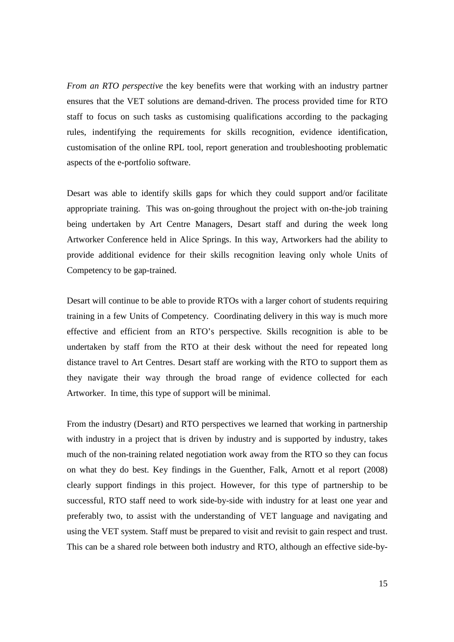*From an RTO perspective* the key benefits were that working with an industry partner ensures that the VET solutions are demand-driven. The process provided time for RTO staff to focus on such tasks as customising qualifications according to the packaging rules, indentifying the requirements for skills recognition, evidence identification, customisation of the online RPL tool, report generation and troubleshooting problematic aspects of the e-portfolio software.

Desart was able to identify skills gaps for which they could support and/or facilitate appropriate training. This was on-going throughout the project with on-the-job training being undertaken by Art Centre Managers, Desart staff and during the week long Artworker Conference held in Alice Springs. In this way, Artworkers had the ability to provide additional evidence for their skills recognition leaving only whole Units of Competency to be gap-trained.

Desart will continue to be able to provide RTOs with a larger cohort of students requiring training in a few Units of Competency. Coordinating delivery in this way is much more effective and efficient from an RTO's perspective. Skills recognition is able to be undertaken by staff from the RTO at their desk without the need for repeated long distance travel to Art Centres. Desart staff are working with the RTO to support them as they navigate their way through the broad range of evidence collected for each Artworker. In time, this type of support will be minimal.

From the industry (Desart) and RTO perspectives we learned that working in partnership with industry in a project that is driven by industry and is supported by industry, takes much of the non-training related negotiation work away from the RTO so they can focus on what they do best. Key findings in the Guenther, Falk, Arnott et al report (2008) clearly support findings in this project. However, for this type of partnership to be successful, RTO staff need to work side-by-side with industry for at least one year and preferably two, to assist with the understanding of VET language and navigating and using the VET system. Staff must be prepared to visit and revisit to gain respect and trust. This can be a shared role between both industry and RTO, although an effective side-by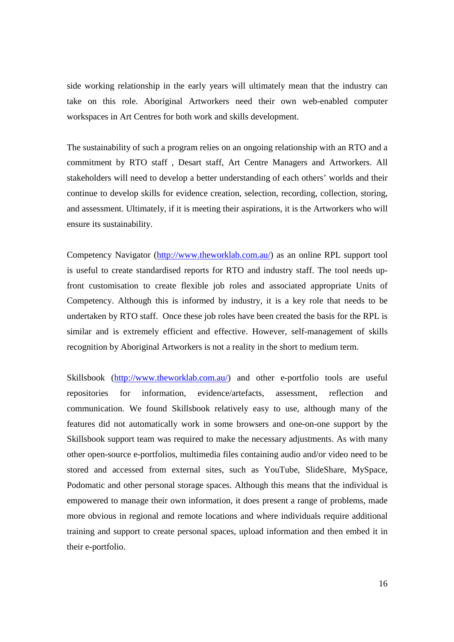side working relationship in the early years will ultimately mean that the industry can take on this role. Aboriginal Artworkers need their own web-enabled computer workspaces in Art Centres for both work and skills development.

The sustainability of such a program relies on an ongoing relationship with an RTO and a commitment by RTO staff , Desart staff, Art Centre Managers and Artworkers. All stakeholders will need to develop a better understanding of each others' worlds and their continue to develop skills for evidence creation, selection, recording, collection, storing, and assessment. Ultimately, if it is meeting their aspirations, it is the Artworkers who will ensure its sustainability.

Competency Navigator (http://www.theworklab.com.au/) as an online RPL support tool is useful to create standardised reports for RTO and industry staff. The tool needs upfront customisation to create flexible job roles and associated appropriate Units of Competency. Although this is informed by industry, it is a key role that needs to be undertaken by RTO staff. Once these job roles have been created the basis for the RPL is similar and is extremely efficient and effective. However, self-management of skills recognition by Aboriginal Artworkers is not a reality in the short to medium term.

Skillsbook (http://www.theworklab.com.au/) and other e-portfolio tools are useful repositories for information, evidence/artefacts, assessment, reflection and communication. We found Skillsbook relatively easy to use, although many of the features did not automatically work in some browsers and one-on-one support by the Skillsbook support team was required to make the necessary adjustments. As with many other open-source e-portfolios, multimedia files containing audio and/or video need to be stored and accessed from external sites, such as YouTube, SlideShare, MySpace, Podomatic and other personal storage spaces. Although this means that the individual is empowered to manage their own information, it does present a range of problems, made more obvious in regional and remote locations and where individuals require additional training and support to create personal spaces, upload information and then embed it in their e-portfolio.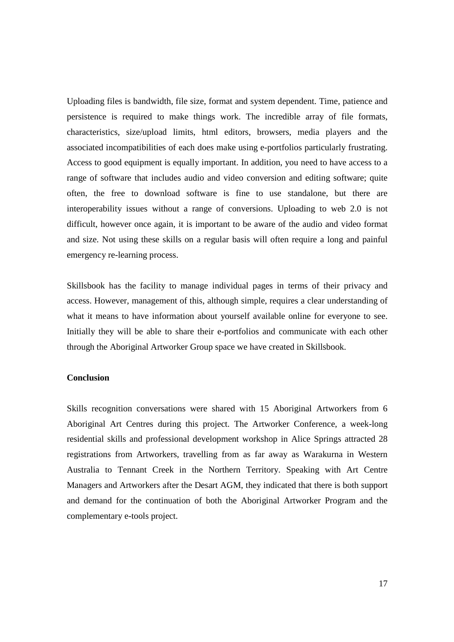Uploading files is bandwidth, file size, format and system dependent. Time, patience and persistence is required to make things work. The incredible array of file formats, characteristics, size/upload limits, html editors, browsers, media players and the associated incompatibilities of each does make using e-portfolios particularly frustrating. Access to good equipment is equally important. In addition, you need to have access to a range of software that includes audio and video conversion and editing software; quite often, the free to download software is fine to use standalone, but there are interoperability issues without a range of conversions. Uploading to web 2.0 is not difficult, however once again, it is important to be aware of the audio and video format and size. Not using these skills on a regular basis will often require a long and painful emergency re-learning process.

Skillsbook has the facility to manage individual pages in terms of their privacy and access. However, management of this, although simple, requires a clear understanding of what it means to have information about yourself available online for everyone to see. Initially they will be able to share their e-portfolios and communicate with each other through the Aboriginal Artworker Group space we have created in Skillsbook.

## **Conclusion**

Skills recognition conversations were shared with 15 Aboriginal Artworkers from 6 Aboriginal Art Centres during this project. The Artworker Conference, a week-long residential skills and professional development workshop in Alice Springs attracted 28 registrations from Artworkers, travelling from as far away as Warakurna in Western Australia to Tennant Creek in the Northern Territory. Speaking with Art Centre Managers and Artworkers after the Desart AGM, they indicated that there is both support and demand for the continuation of both the Aboriginal Artworker Program and the complementary e-tools project.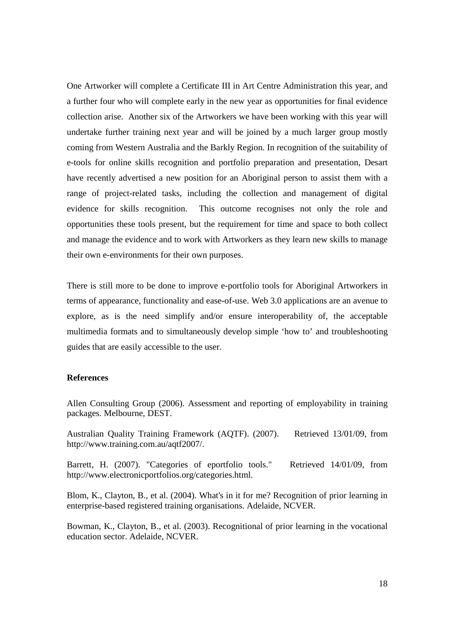One Artworker will complete a Certificate III in Art Centre Administration this year, and a further four who will complete early in the new year as opportunities for final evidence collection arise. Another six of the Artworkers we have been working with this year will undertake further training next year and will be joined by a much larger group mostly coming from Western Australia and the Barkly Region. In recognition of the suitability of e-tools for online skills recognition and portfolio preparation and presentation, Desart have recently advertised a new position for an Aboriginal person to assist them with a range of project-related tasks, including the collection and management of digital evidence for skills recognition. This outcome recognises not only the role and opportunities these tools present, but the requirement for time and space to both collect and manage the evidence and to work with Artworkers as they learn new skills to manage their own e-environments for their own purposes.

There is still more to be done to improve e-portfolio tools for Aboriginal Artworkers in terms of appearance, functionality and ease-of-use. Web 3.0 applications are an avenue to explore, as is the need simplify and/or ensure interoperability of, the acceptable multimedia formats and to simultaneously develop simple 'how to' and troubleshooting guides that are easily accessible to the user.

## **References**

Allen Consulting Group (2006). Assessment and reporting of employability in training packages. Melbourne, DEST.

Australian Quality Training Framework (AQTF). (2007). Retrieved 13/01/09, from http://www.training.com.au/aqtf2007/.

Barrett, H. (2007). "Categories of eportfolio tools." Retrieved 14/01/09, from http://www.electronicportfolios.org/categories.html.

Blom, K., Clayton, B., et al. (2004). What's in it for me? Recognition of prior learning in enterprise-based registered training organisations. Adelaide, NCVER.

Bowman, K., Clayton, B., et al. (2003). Recognitional of prior learning in the vocational education sector. Adelaide, NCVER.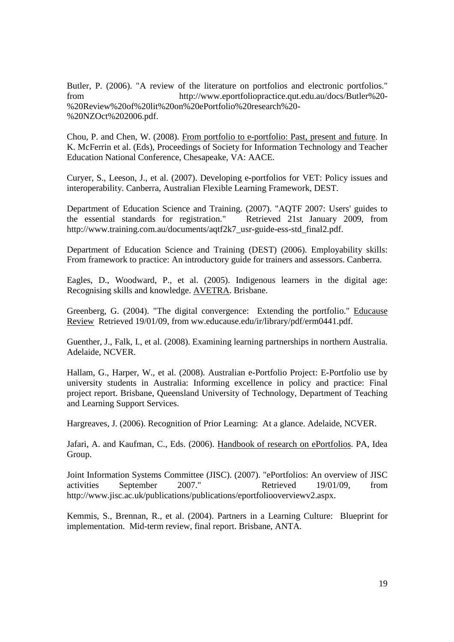Butler, P. (2006). "A review of the literature on portfolios and electronic portfolios." from http://www.eportfoliopractice.qut.edu.au/docs/Butler%20- %20Review%20of%20lit%20on%20ePortfolio%20research%20- %20NZOct%202006.pdf.

Chou, P. and Chen, W. (2008). From portfolio to e-portfolio: Past, present and future. In K. McFerrin et al. (Eds), Proceedings of Society for Information Technology and Teacher Education National Conference, Chesapeake, VA: AACE.

Curyer, S., Leeson, J., et al. (2007). Developing e-portfolios for VET: Policy issues and interoperability. Canberra, Australian Flexible Learning Framework, DEST.

Department of Education Science and Training. (2007). "AQTF 2007: Users' guides to the essential standards for registration." Retrieved 21st January 2009, from http://www.training.com.au/documents/aqtf2k7\_usr-guide-ess-std\_final2.pdf.

Department of Education Science and Training (DEST) (2006). Employability skills: From framework to practice: An introductory guide for trainers and assessors. Canberra.

Eagles, D., Woodward, P., et al. (2005). Indigenous learners in the digital age: Recognising skills and knowledge. AVETRA. Brisbane.

Greenberg, G. (2004). "The digital convergence: Extending the portfolio." Educause Review Retrieved 19/01/09, from ww.educause.edu/ir/library/pdf/erm0441.pdf.

Guenther, J., Falk, I., et al. (2008). Examining learning partnerships in northern Australia. Adelaide, NCVER.

Hallam, G., Harper, W., et al. (2008). Australian e-Portfolio Project: E-Portfolio use by university students in Australia: Informing excellence in policy and practice: Final project report. Brisbane, Queensland University of Technology, Department of Teaching and Learning Support Services.

Hargreaves, J. (2006). Recognition of Prior Learning: At a glance. Adelaide, NCVER.

Jafari, A. and Kaufman, C., Eds. (2006). Handbook of research on ePortfolios. PA, Idea Group.

Joint Information Systems Committee (JISC). (2007). "ePortfolios: An overview of JISC activities September 2007." Retrieved 19/01/09, from http://www.jisc.ac.uk/publications/publications/eportfoliooverviewv2.aspx.

Kemmis, S., Brennan, R., et al. (2004). Partners in a Learning Culture: Blueprint for implementation. Mid-term review, final report. Brisbane, ANTA.